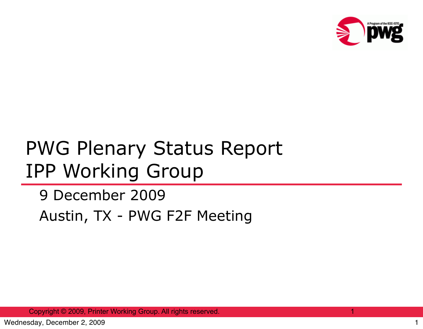

## PWG Plenary Status Report IPP Working Group

## 9 December 2009 Austin, TX - PWG F2F Meeting

Copyright © 2009, Printer Working Group. All rights reserved.

1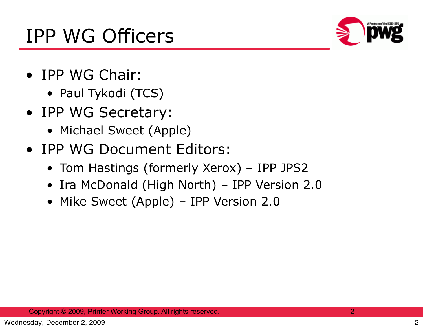

- IPP WG Chair:
	- Paul Tykodi (TCS)
- IPP WG Secretary:
	- Michael Sweet (Apple)
- IPP WG Document Editors:
	- Tom Hastings (formerly Xerox) IPP JPS2
	- Ira McDonald (High North) IPP Version 2.0
	- Mike Sweet (Apple) IPP Version 2.0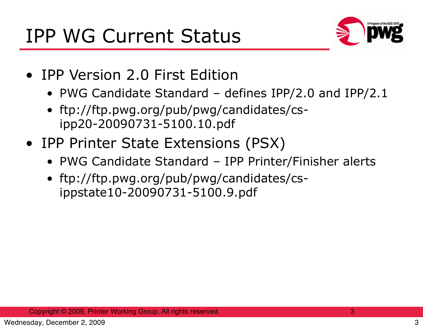

- IPP Version 2.0 First Edition
	- PWG Candidate Standard defines IPP/2.0 and IPP/2.1
	- ftp://ftp.pwg.org/pub/pwg/candidates/csipp20-20090731-5100.10.pdf
- IPP Printer State Extensions (PSX)
	- PWG Candidate Standard IPP Printer/Finisher alerts
	- ftp://ftp.pwg.org/pub/pwg/candidates/csippstate10-20090731-5100.9.pdf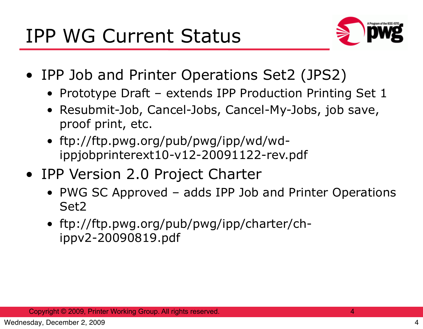

- IPP Job and Printer Operations Set2 (JPS2)
	- Prototype Draft extends IPP Production Printing Set 1
	- Resubmit-Job, Cancel-Jobs, Cancel-My-Jobs, job save, proof print, etc.
	- ftp://ftp.pwg.org/pub/pwg/ipp/wd/wdippjobprinterext10-v12-20091122-rev.pdf
- IPP Version 2.0 Project Charter
	- PWG SC Approved adds IPP Job and Printer Operations Set2
	- ftp://ftp.pwg.org/pub/pwg/ipp/charter/chippv2-20090819.pdf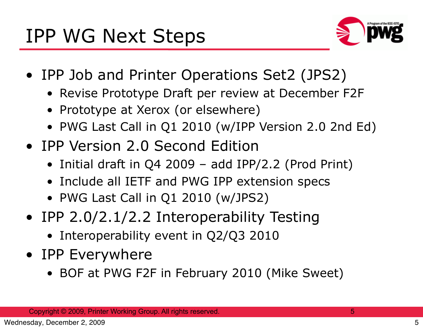

- IPP Job and Printer Operations Set2 (JPS2)
	- Revise Prototype Draft per review at December F2F
	- Prototype at Xerox (or elsewhere)
	- PWG Last Call in Q1 2010 (w/IPP Version 2.0 2nd Ed)
- IPP Version 2.0 Second Edition
	- Initial draft in Q4 2009 add IPP/2.2 (Prod Print)
	- Include all IETF and PWG IPP extension specs
	- PWG Last Call in Q1 2010 (w/JPS2)
- IPP 2.0/2.1/2.2 Interoperability Testing
	- Interoperability event in Q2/Q3 2010
- IPP Everywhere
	- BOF at PWG F2F in February 2010 (Mike Sweet)